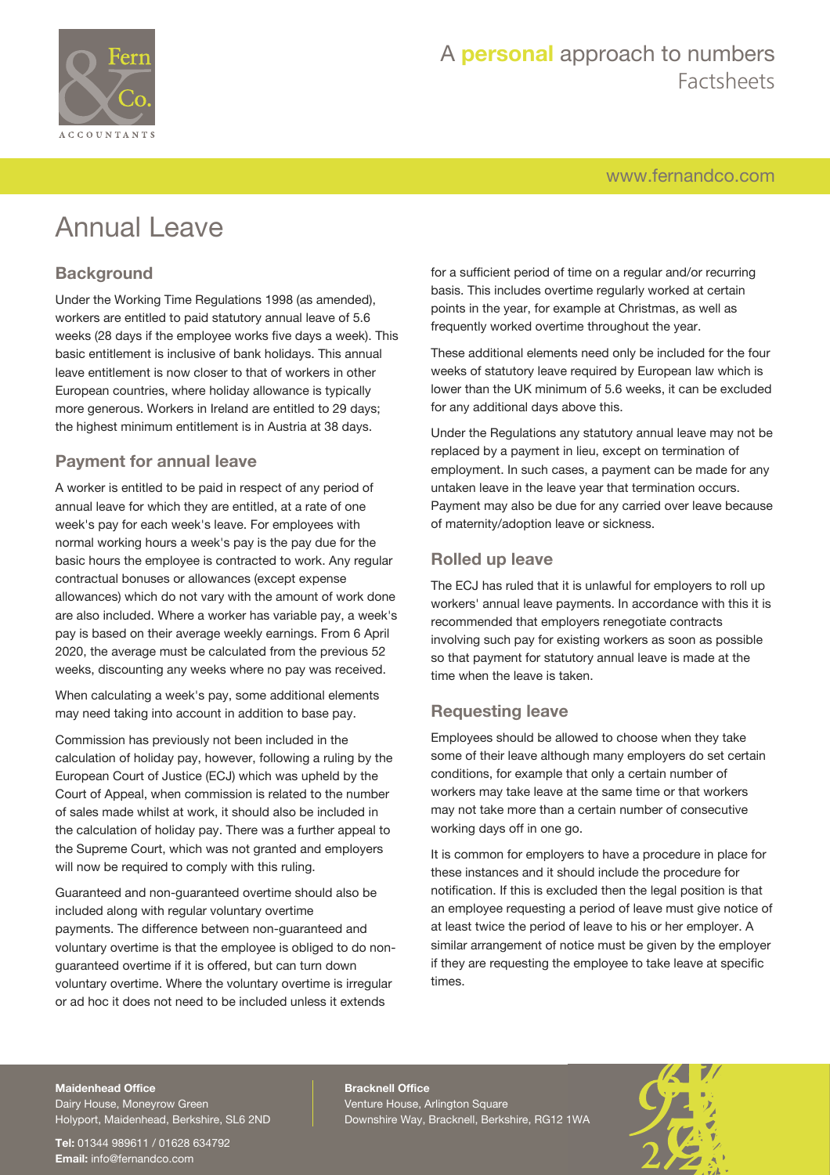

# A **personal** approach to numbers Factsheets

[www.fernandco.com](http://www.fernandco.com)

# Annual Leave

## **Background**

Under the Working Time Regulations 1998 (as amended), workers are entitled to paid statutory annual leave of 5.6 weeks (28 days if the employee works five days a week). This basic entitlement is inclusive of bank holidays. This annual leave entitlement is now closer to that of workers in other European countries, where holiday allowance is typically more generous. Workers in Ireland are entitled to 29 days; the highest minimum entitlement is in Austria at 38 days.

#### **Payment for annual leave**

A worker is entitled to be paid in respect of any period of annual leave for which they are entitled, at a rate of one week's pay for each week's leave. For employees with normal working hours a week's pay is the pay due for the basic hours the employee is contracted to work. Any regular contractual bonuses or allowances (except expense allowances) which do not vary with the amount of work done are also included. Where a worker has variable pay, a week's pay is based on their average weekly earnings. From 6 April 2020, the average must be calculated from the previous 52 weeks, discounting any weeks where no pay was received.

When calculating a week's pay, some additional elements may need taking into account in addition to base pay.

Commission has previously not been included in the calculation of holiday pay, however, following a ruling by the European Court of Justice (ECJ) which was upheld by the Court of Appeal, when commission is related to the number of sales made whilst at work, it should also be included in the calculation of holiday pay. There was a further appeal to the Supreme Court, which was not granted and employers will now be required to comply with this ruling.

Guaranteed and non-guaranteed overtime should also be included along with regular voluntary overtime payments. The difference between non-guaranteed and voluntary overtime is that the employee is obliged to do nonguaranteed overtime if it is offered, but can turn down voluntary overtime. Where the voluntary overtime is irregular or ad hoc it does not need to be included unless it extends

for a sufficient period of time on a regular and/or recurring basis. This includes overtime regularly worked at certain points in the year, for example at Christmas, as well as frequently worked overtime throughout the year.

These additional elements need only be included for the four weeks of statutory leave required by European law which is lower than the UK minimum of 5.6 weeks, it can be excluded for any additional days above this.

Under the Regulations any statutory annual leave may not be replaced by a payment in lieu, except on termination of employment. In such cases, a payment can be made for any untaken leave in the leave year that termination occurs. Payment may also be due for any carried over leave because of maternity/adoption leave or sickness.

#### **Rolled up leave**

The ECJ has ruled that it is unlawful for employers to roll up workers' annual leave payments. In accordance with this it is recommended that employers renegotiate contracts involving such pay for existing workers as soon as possible so that payment for statutory annual leave is made at the time when the leave is taken.

#### **Requesting leave**

Employees should be allowed to choose when they take some of their leave although many employers do set certain conditions, for example that only a certain number of workers may take leave at the same time or that workers may not take more than a certain number of consecutive working days off in one go.

It is common for employers to have a procedure in place for these instances and it should include the procedure for notification. If this is excluded then the legal position is that an employee requesting a period of leave must give notice of at least twice the period of leave to his or her employer. A similar arrangement of notice must be given by the employer if they are requesting the employee to take leave at specific times.

#### **Maidenhead Office**

Dairy House, Moneyrow Green Holyport, Maidenhead, Berkshire, SL6 2ND

**Tel:** 01344 989611 / 01628 634792 **Email:** [info@fernandco.com](mailto:info@fernandco.com)

**Bracknell Office** Venture House, Arlington Square Downshire Way, Bracknell, Berkshire, RG12 1WA